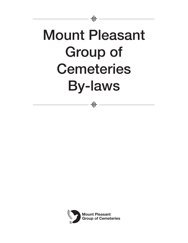

- # -

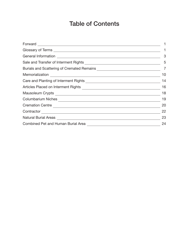# Table of Contents

|                                                                                                                                                                                                                                                  | 3  |
|--------------------------------------------------------------------------------------------------------------------------------------------------------------------------------------------------------------------------------------------------|----|
|                                                                                                                                                                                                                                                  | 5  |
|                                                                                                                                                                                                                                                  | 7  |
|                                                                                                                                                                                                                                                  | 10 |
|                                                                                                                                                                                                                                                  | 14 |
|                                                                                                                                                                                                                                                  | 16 |
|                                                                                                                                                                                                                                                  | 18 |
| Columbarium Niches<br>The Columbarium Niches<br>The Columbarium Niches<br>The Columbarium Niches<br>The Columbarium Niches<br>The Columbarium Niches<br>The Columbarium Niches<br>The Columbarium Niches<br>The Columbarium Niches<br>The Columb | 19 |
| Cremation Centre                                                                                                                                                                                                                                 | 20 |
| Contractor Contractor Contractor Contractor Contractor Contractor Contractor Contractor Contractor Contractor                                                                                                                                    | 22 |
| Natural Burial Areas <b>Mature and Areas</b> Areas <b>Mature and Areas</b> Areas Areas Areas Areas Areas Areas Areas Areas Areas Areas Areas Areas Areas Areas Areas Areas Areas Areas Areas Areas Areas Areas Areas Areas Areas Areas A         | 23 |
| Combined Pet and Human Burial Area [198] [198] [198] Combined Pet and Human Burial Area                                                                                                                                                          | 24 |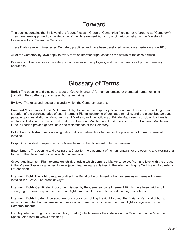#### Forward

This booklet contains the By-laws of the Mount Pleasant Group of Cemeteries (hereinafter referred to as "Cemetery"). They have been approved by the Registrar of the Bereavement Authority of Ontario on behalf of the Ministry of Government and Consumer Services.

These By-laws reflect time-tested Cemetery practices and have been developed based on experience since 1826.

All of the Cemetery by-laws apply to every form of interment right as far as the nature of the case permits.

By-law compliance ensures the safety of our families and employees, and the maintenance of proper cemetery operations.

#### Glossary of Terms

Burial: The opening and closing of a Lot or Grave (in ground) for human remains or cremated human remains (including the scattering of cremated human remains).

By-laws: The rules and regulations under which the Cemetery operates.

Care and Maintenance Fund: All Interment Rights are sold in perpetuity. As a requirement under provincial legislation, a portion of the purchase price of each Interment Rights, scattering of cremated remains, and the prescribed amount payable upon installation of Monuments and Markers, and the building of Private Mausoleums or Columbariums is contributed into an irrevocable trust fund – The Care and Maintenance Fund. Income from the Care and Maintenance Fund is used to provide general care and maintenance of the Cemetery.

Columbarium: A structure containing individual compartments or Niches for the placement of human cremated remains.

Crypt: An individual compartment in a Mausoleum for the placement of human remains.

Entombment: The opening and closing of a Crypt for the placement of human remains, or the opening and closing of a Niche for the placement of cremated human remains.

Grave: Any Interment Right (cremation, child, or adult) which permits a Marker to be set flush and level with the ground in the Marker Space, or attached to an adjacent feature wall as defined in the Interment Rights Certificate. (Also refer to Lot definition.)

Interment Right: The right to require or direct the Burial or Entombment of human remains or cremated human remains in a Grave, Lot, Niche or Crypt.

Interment Rights Certificate: A document, issued by the Cemetery once Interment Rights have been paid in full, specifying the ownership of the Interment Rights, memorialization options and planting restrictions.

Interment Rights Holder: A person, firm, or corporation holding the right to direct the Burial or Removal of human remains, cremated human remains, and associated memorialization in an Interment Right as registered in the Cemetery records.

Lot: Any Interment Right (cremation, child, or adult) which permits the installation of a Monument in the Monument Space. (Also refer to Grave definition.)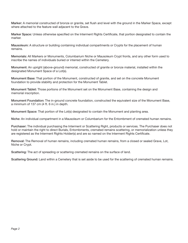Marker: A memorial constructed of bronze or granite, set flush and level with the ground in the Marker Space, except where attached to the feature wall adjacent to the Grave.

Marker Space: Unless otherwise specified on the Interment Rights Certificate, that portion designated to contain the marker.

Mausoleum: A structure or building containing individual compartments or Crypts for the placement of human remains.

Memorials: All Markers or Monuments, Columbarium Niche or Mausoleum Crypt fronts, and any other form used to inscribe the names of individuals buried or interred within the Cemetery.

Monument: An upright (above-ground) memorial, constructed of granite or bronze material, installed within the designated Monument Space of a Lot(s).

Monument Base: That portion of the Monument, constructed of granite, and set on the concrete Monument foundation to provide stability and protection for the Monument Tablet.

Monument Tablet: Those portions of the Monument set on the Monument Base, containing the design and memorial inscription.

Monument Foundation: The in-ground concrete foundation, constructed the equivalent size of the Monument Base, a minimum of 137 cm (4 ft. 6 in.) in depth.

Monument Space: That portion of the Lot(s) designated to contain the Monument and planting area.

Niche: An individual compartment in a Mausoleum or Columbarium for the Entombment of cremated human remains.

Purchaser: The individual purchasing the Interment or Scattering Right, products or services. The Purchaser does not hold or maintain the right to direct Burials, Entombments, cremated remains scattering, or memorialization unless they are registered as the Interment Rights Holder(s) and are so named on the Interment Rights Certificate.

Removal: The Removal of human remains, including cremated human remains, from a closed or sealed Grave, Lot, Niche or Crypt.

Scattering: The act of spreading or scattering cremated remains on the surface of land.

Scattering Ground: Land within a Cemetery that is set aside to be used for the scattering of cremated human remains.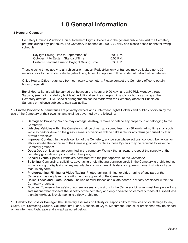## 1.0 General Information

#### 1.1 Hours of Operation

 Cemetery Grounds Visitation Hours: Interment Rights Holders and the general public can visit the Cemetery grounds during daylight hours. The Cemetery is opened at 8:00 A.M. daily and closes based on the following schedule:

| Daylight Saving Time to September 30th           | $8:00$ P.M. |
|--------------------------------------------------|-------------|
| October 1 <sup>st</sup> to Eastern Standard Time | 6:00 P.M.   |
| Eastern Standard Time to Daylight Saving Time    | 5:30 P.M.   |

 These closing times apply to all vehicular entrances. Pedestrian-only entrances may be locked up to 30 minutes prior to the posted vehicle gate closing times. Exceptions will be posted at individual cemeteries.

Office Hours: Office hours vary from cemetery to cemetery. Please contact the Cemetery office to obtain hours of operation.

 Burial Hours: Burials will be carried out between the hours of 9:00 A.M. and 3:30 P.M. Monday through Saturday (excluding statutory holidays). Additional service charges will apply for burials arriving at the Cemetery after 3:30 P.M. Special arrangements can be made with the Cemetery office for Burials on Sundays or holidays subject to staff availability.

1.2 Private Property: All cemeteries are privately owned lands. Interment Rights Holders and public visitors enjoy the use of the Cemetery at their own risk and shall be governed by the following:

- Damage to Property: No one may damage, destroy, remove or deface any property in or belonging to the Cemetery;
- Vehicles: Vehicles within the Cemetery shall be driven at a speed less than 30 km/hr. At no time shall such vehicles park or drive on the grass. Owners of vehicles will be held liable for any damage caused by their drivers or vehicles;
- Improper Conduct: In the sole opinion of the Cemetery, any person whose actions, conduct, behaviour, or attire disturbs the decorum of the Cemetery, or who violates these By-laws may be required to leave the Cemetery grounds;
- Dogs: Dogs on leashes are permitted in the cemetery. We ask that all owners respect the sanctity of the cemetery grounds and pick up after their pets;
- Special Events: Special Events are permitted with the prior approval of the Cemetery;
- Soliciting: Canvassing, soliciting, advertising or distributing business cards in the Cemetery is prohibited, as is the placing or displaying of any manufacturer's, monument dealer's, or quarry's name, insignia or trade mark in any form;
- Photographing, Filming, or Video-Taping: Photographing, filming, or video-taping of any part of the Cemetery may only take place with the prior approval of the Cemetery;
- Roller Blades and Skate Boards: The use of roller blades and skate boards is strictly prohibited within the Cemetery grounds;
- Bicycles: To ensure the safety of our employees and visitors to the Cemetery, bicycles must be operated in a safe manner that respects the sanctity of the cemetery and only operated on cemetery roads at a speed less than 20 km/hour. Bicycle racing is strictly prohibited.

1.3 Liability for Loss or Damage: The Cemetery assumes no liability or responsibility for the loss of, or damage to, any Grave, Lot, Scattering Ground, Columbarium Niche, Mausoleum Crypt, Monument, Marker, or article that may be placed on an Interment Right save and except as noted below.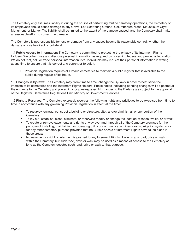The Cemetery only assumes liability if, during the course of performing routine cemetery operations, the Cemetery or its employees should cause damage to any Grave, Lot, Scattering Ground, Columbarium Niche, Mausoleum Crypt, Monument, or Marker. The liability shall be limited to the extent of the damage caused, and the Cemetery shall make a reasonable effort to correct the damage.

The Cemetery is not responsible for loss or damage from any causes beyond its reasonable control, whether the damage or loss be direct or collateral.

1.4 Public Access to Information: The Cemetery is committed to protecting the privacy of its Interment Rights Holders. We collect, use and disclose personal information as required by governing federal and provincial legislation. We do not rent, sell, or trade personal information lists. Individuals may request their personal information in writing at any time to ensure that it is correct and current or to edit it.

• Provincial legislation requires all Ontario cemeteries to maintain a public register that is available to the public during regular office hours.

1.5 Changes in By-laws: The Cemetery may, from time to time, change the By-laws in order to best serve the interests of its cemeteries and the Interment Rights Holders. Public notice indicating pending changes will be posted at the entrance to the Cemetery and placed in a local newspaper. All changes to the By-laws are subject to the approval of the Registrar, Cemeteries Regulations Unit, Ministry of Government Services.

1.6 Right to Resurvey: The Cemetery expressly reserves the following rights and privileges to be exercised from time to time in accordance with any governing Provincial legislation in effect at the time:

- To resurvey, enlarge, construct a building or structure, alter, and/or diminish all or any portion of the Cemetery;
- To lay out, establish, close, eliminate, or otherwise modify or change the location of roads, walks, or drives;
- To create or remove easements and rights of way over and through all of the Cemetery premises for the purpose of installing, maintaining, or operating utility or communication lines, drains, irrigation systems, or for any other cemetery purpose provided that no Burials or sale of Interment Rights have taken place in these areas;
- No easement or right of interment is granted to any Interment Rights Holder in any road, drive or walk within the Cemetery, but such road, drive or walk may be used as a means of access to the Cemetery as long as the Cemetery devotes such road, drive or walk to that purpose.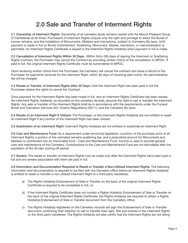## 2.0 Sale and Transfer of Interment Rights

2.1 Ownership of Interment Rights: Ownership of all cemetery lands remains vested with the Mount Pleasant Group of Cemeteries at all times. Purchasers of Interment Rights acquire only the right and privilege to direct the Burial of human remains, and the installation of Monuments, Markers and inscriptions, subject to Cemetery By-laws. Until payment is made in full no Burial, Entombment, Scattering, Monument, Marker, inscription, or memorialization is permitted. An Interment Rights Certificate is issued to the Interment Rights Holder(s) when payment in full is made.

2.2 Cancellation of Interment Rights Within 30 Days: Within thirty (30) days of signing the Interment or Scattering Rights Contract, the Purchaser may cancel the Contract by providing written notice of the cancellation to MPGC. If paid in full, the original Interment Rights Certificate must be surrendered to MPGC.

Upon receiving written notice from the Purchaser, the Cemetery will cancel the contract and issue a refund to the Purchaser for payments received for the Interment Right, within 30 days of receiving said notice. No administrative fee will be charged.

2.3 Resale or Transfer of Interment Rights After 30 Days: Until the Interment Right has been paid in full the Purchaser retains the rights to cancel the Contract.

Once payment for the Interment Rights has been made in full, and an Interment Rights Certificate has been issued, the Interment Rights Holder(s), as recorded on the cemetery records, assume the right to sell or transfer the Interment Rights. Any sale or transfer of the Interment Rights shall be in accordance with the requirements under the Funeral Burial and Cremation Services Act, Ontario Regulations (30/11), and the Cemetery By-laws.

2.4 Resale of an Interment Right If Utilized: The Purchaser, or the Interment Rights Holder(s) are not entitled to resell an Interment Right if any portion of the Interment Right has been utilized.

2.5 Subdivision of an Interment Right: Interment Rights Holder(s) are not entitled to subdivide an Interment Right.

2.6 Care and Maintenance Fund: As a requirement under provincial legislation, a portion of the purchase price of all Interment Rights, a portion of the cremated remains scattering fee, and a prescribed amount for Monuments and Markers is contributed into an irrevocable fund – Care and Maintenance Fund. Income is used to provide general care and maintenance of the Cemetery. Contributions to the Care and Maintenance Fund are not refundable after the expiration of the 30-day cooling off period.

2.7 Arrears: The resale or transfer of Interment Rights may be made only after the Interment Rights have been paid in full and any arrears associated with them are paid in full.

2.8 Information and Documentation Required to Resell or Transfer a Non-Utilized Interment Rights: The following information and documentation is required to be filed with the Cemetery office before an Interment Rights Holder(s) is entitled to resell or transfer a non-utilized Interment Right to a third party transferee;

- a) The Rights Holder(s) Endorsement of Sale or Transfer on the back of the original Interment Rights Certificate is required to be completed in full, or;
- b) If the Interment Rights Certificate does not contain a Rights Holder(s) Endorsement of Sale or Transfer on the back of the original Interment Rights Certificate, the Rights Holder(s) are required to obtain a Rights Holder(s) Endorsement of Sale or Transfer document from the Cemetery office;
- c) The Rights Holder(s) registered on the Cemetery records will sign the Endorsement of Sale or Transfer document confirming their intention to sell or transfer their right, title and interest in the Interment Rights to the third party transferee. The Rights Holder(s) will also certify that the Interment Rights are not being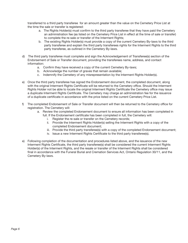transferred to a third party transferee for an amount greater than the value on the Cemetery Price List at the time the sale or transfer is registered:

- a. The Rights Holder(s) must confirm to the third party transferee that they have paid the Cemetery an administration fee (as listed on the Cemetery Price List in effect at the time of sale or transfer) to complete the re-sale or transfer of the Interment Rights;
- b. The existing Rights Holder(s) must provide a copy of the current Cemetery By-laws to the third party transferee and explain the third party transferees rights for the Interment Rights to the third party transferee, as outlined in the Cemetery By-laws.
- d) The third party transferee must complete and sign the Acknowledgement of Transferee(s) section of the Endorsement of Sale or Transfer document, providing the transferees name, address, and contact information:
	- a. Confirm they have received a copy of the current Cemetery By-laws;
	- b. Acknowledge the number of graves that remain available;
	- c. Indemnify the Cemetery of any misrepresentation by the Interment Rights Holder(s).
- e) Once the third party transferee has signed the Endorsement document, the completed document, along with the original Interment Rights Certificate will be returned to the Cemetery office. Should the Interment Rights Holder not be able to locate the original Interment Rights Certificate the Cemetery office may issue a duplicate Interment Rights Certificate. The Cemetery may charge an administration fee for the issuance of a duplicate certificate in accordance with the price listed on the current Cemetery Price List.
- f) The completed Endorsement of Sale or Transfer document will then be returned to the Cemetery office for registration. The Cemetery will:
	- a. Review the completed Endorsement document to ensure all information has been completed in
		- full. If the Endorsement certificate has been completed in full, the Cemetery will:
			- i. Register the re-sale or transfer on the Cemetery records;
			- ii. Provide the Interment Rights Holder(s) selling the Interment Rights with a copy of the completed Endorsement document;
			- iii. Provide the third party transferee(s) with a copy of the completed Endorsement document;
			- iv. Issue a new Interment Rights Certificate to the third party transferee(s).
- e) Following completion of the documentation and procedures listed above, and the issuance of the new Interment Rights Certificate, the third party transferee(s) shall be considered the current Interment Rights Holder(s) of the Interment Rights, and the resale or transfer of the Interment Rights shall be considered final in accordance with the Funeral Burial and Cremation Services Act, Ontario Regulation 30/11, and the Cemetery By-laws.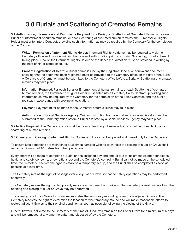## 3.0 Burials and Scattering of Cremated Remains

3.1 Authorization, Information and Documents Required for a Burial, or Scattering of Cremated Remains: For each Burial or Entombment of human remains, or each Scattering of cremated human remains, the Purchaser or Rights Holder must enter into a Contract, providing such information as may be required by the Cemetery for the completion of the Contract.

Written Permission of Interment Rights Holder: Interment Rights Holder(s) may be required to visit the Cemetery office and provide written direction and authorization prior to a Burial, Scattering, or Entombment taking place. Should the Interment Rights Holder be the deceased, direction must be provided in writing by the next of kin or estate executor.

Proof of Registration of Death: A Burial permit issued by the Registrar General or equivalent document showing that the death has been registered must be provided to the Cemetery office on the day of the Burial. A Certificate of Cremation must be submitted to the Cemetery office before a Burial or Scattering of cremated remains may take place.

Information Required: For each Burial or Entombment of human remains, or each Scattering of cremated human remains, the Purchaser or Rights Holder must enter into a Cemetery Sales Contract, providing such information as may be required by the Cemetery for the completion of the Sales Contract, and the public register, in accordance with provincial legislation.

Payment: Payment must be made to the Cemetery before a Burial may take place.

Authorization of Social Services Agency: Written instruction from a social services administrator must be submitted to the Cemetery office before a Burial assisted by a Social Services Agency may take place.

3.2 Notice Required: The Cemetery office shall be given at least eight business hours of notice for each Burial or scattering of human remains.

3.3 Opening and Closing of Interment Rights: Graves and Lots shall be opened and closed only by the Cemetery.

To ensure safe conditions are maintained at all times, families wishing to witness the closing of a Lot or Grave shall remain a minimum of 10 metres from the open Grave.

Every effort will be made to complete a Burial on the assigned day and time. If due to inclement weather conditions, health and safety concerns, or conditions beyond the Cemetery's control, a Burial cannot be made at the scheduled time, the Cemetery reserves the right to establish a temporary set up, and the Burial shall be completed as soon as possible at a later time.

The Cemetery retains the right of passage over every Lot or Grave so that cemetery operations may be performed effectively.

The Cemetery retains the right to temporarily relocate a monument or marker so that cemetery operations involving the opening and closing of a Lot or Grave may be performed.

The opening of a Lot or Grave for Burial necessitates the temporary mounding of earth on adjacent Graves. The Cemetery reserves the right to determine the location for the temporary mound and will make reasonable efforts to restore adjacent Graves to their original condition as soon as possible following the closing of the Grave.

Funeral flowers, delivered to the Cemetery at the time of Burial, will remain on the Lot or Grave for a minimum of 5 days and will be removed at any time thereafter and disposed of by the Cemetery.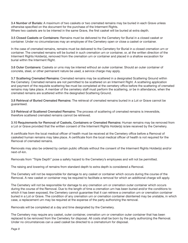3.4 Number of Burials: A maximum of two caskets or two cremated remains may be buried in each Grave unless otherwise specified on the document for the purchase of the Interment Rights. Where two caskets are to be interred in the same Grave, the first casket will be buried at extra depth.

3.5 Closed Caskets or Containers: Remains must be delivered to the Cemetery for Burial in a closed casket or container. Under no circumstances may an employee of the Cemetery open or close a casket or container.

In the case of cremated remains, remains must be delivered to the Cemetery for Burial in a closed cremation urn or container. The cremated remains will be buried in such cremation urn or container, or, at the written direction of the Interment Rights Holder(s), removed from the cremation urn or container and placed in a shallow excavation for burial within the Interment Right.

3.6 Outer Containers: Caskets or urns may be interred without an outer container. Should an outer container of concrete, steel, or other permanent nature be used, a service charge may apply.

3.7 Scattering Cremated Remains: Cremated remains may be scattered in a designated Scattering Ground within the Cemetery. Cremated remains are not permitted to be scattered on an Interment Right. A scattering application and payment of the requisite scattering fee must be completed at the cemetery office before the scattering of cremated remains may take place. A member of the cemetery staff must perform the scattering, or be in attendance, when the cremated remains are scattered within the designated Scattering Ground.

3.8 Retrieval of Buried Cremated Remains: The retrieval of cremated remains buried in a Lot or Grave cannot be guaranteed.

3.9 Retrieval of Scattered Cremated Remains: The process of scattering of cremated remains is irreversible, therefore scattered cremated remains cannot be retrieved.

3.10 Requirements for Removal of Caskets, Containers or Cremated Remains: Human remains may be removed from a Lot or Grave provided that the written consent of the Interment Rights Holder(s) is/are received by the Cemetery.

A certificate from the local medical officer of health must be received at the Cemetery office before a Removal of casketed human remains may take place. A certificate from the local medical officer of health is not required for the Removal of cremated remains.

Removals may also be ordered by certain public officials without the consent of the Interment Rights Holder(s) and/or next-of-kin.

Removals from "Triple Depth" pose a safety hazard to the Cemetery's employees and will not be permitted.

The raising and lowering of remains from standard depth to extra depth is considered a Removal.

The Cemetery will not be responsible for damage to any casket or container which occurs during the course of the Removal. A new casket or container may be required to facilitate a removal for which an additional charge will apply.

The Cemetery will not be responsible for damage to any cremation urn or cremation outer container which occurs during the course of the Removal. Due to the length of time a cremation urn has been buried and/or the conditions to which it has been exposed, the Cemetery cannot guarantee that it can retrieve a cremation urn or cremation container buried in a Lot or Grave. The condition of any cremation urn or cremation container disinterred may be unstable, in which case, a replacement urn may be required at the expense of the party authorizing the removal.

Removals will be completed at a day and time designated by the Cemetery.

The Cemetery may require any casket, outer container, cremation urn or cremation outer container that has been replaced to be removed from the Cemetery for disposal. All costs shall be born by the party authorizing the Removal. Under no circumstances can a used casket be directed to a crematorium for disposal.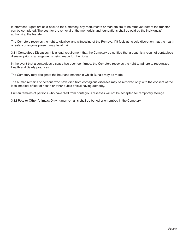If Interment Rights are sold back to the Cemetery, any Monuments or Markers are to be removed before the transfer can be completed. The cost for the removal of the memorials and foundations shall be paid by the individual(s) authorizing the transfer.

The Cemetery reserves the right to disallow any witnessing of the Removal if it feels at its sole discretion that the health or safety of anyone present may be at risk.

3.11 Contagious Diseases: It is a legal requirement that the Cemetery be notified that a death is a result of contagious disease, prior to arrangements being made for the Burial.

In the event that a contagious disease has been confirmed, the Cemetery reserves the right to adhere to recognized Health and Safety practices.

The Cemetery may designate the hour and manner in which Burials may be made.

The human remains of persons who have died from contagious diseases may be removed only with the consent of the local medical officer of health or other public official having authority.

Human remains of persons who have died from contagious diseases will not be accepted for temporary storage.

3.12 Pets or Other Animals: Only human remains shall be buried or entombed in the Cemetery.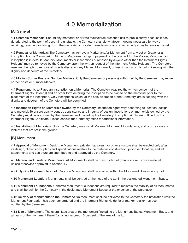## 4.0 Memorialization

#### [A] General

4.1 Unstable Memorials: Should any memorial or private mausoleum present a risk to public safety because it has deteriorated to the point of becoming unstable, the Cemetery shall do whatever it deems necessary by way of repairing, resetting, or laying down the memorial or private mausoleum or any other remedy so as to remove the risk.

4.2 Removal of Memorials: The Cemetery may remove a Marker and/or Monument from any Lot or Grave, or an inscription from a Columbarium Niche or Mausoleum Crypt if payment of the contract for the Marker, Monument or inscription is in default. Markers, Monuments or inscriptions purchased by anyone other than the Interment Rights Holder(s) may be removed by the Cemetery upon the written request of the Interment Rights Holder(s). The Cemetery reserves the right to remove at its sole discretion any Marker, Monument, or inscription which is not in keeping with the dignity and decorum of the Cemetery.

4.3 Moving Corner Posts or Number Markers: Only the Cemetery or person(s) authorized by the Cemetery may move corner posts or number Markers.

4.4 Requirements to Place an Inscription on a Memorial: The Cemetery requires the written consent of the Interment Rights Holder(s) and an order form detailing the inscription to be placed on the memorial prior to the placement of the inscription. Only inscriptions which, at the sole discretion of the Cemetery, are in keeping with the dignity and decorum of the Cemetery will be permitted.

4.5 Inscription Rights on Memorials owned by the Cemetery: Inscription rights vary according to location, design and material. To ensure quality control, consistency and integrity of design, inscriptions on memorials owned by the Cemetery must be approved by the Cemetery and placed by the Cemetery. Inscription rights are outlined on the Interment Rights Certificate. Please consult the Cemetery office for additional information.

4.6 Installation of Memorials: Only the Cemetery may install Markers, Monument foundations, and bronze vases or lanterns that are set in the ground.

#### [B] Monument

4.7 Approval of Monument Design: A Monument, private mausoleum or other structure shall be erected only after its design, dimensions, plans and specifications relative to the material, construction, proposed location, and all attachments and sculpture are submitted to and approved by the Cemetery.

4.8 Material and Finish of Monuments: All Monuments shall be constructed of granite and/or bronze material unless otherwise approved in Section 4.7.

4.9 Only One Monument to a Lot: Only one Monument shall be erected within the Monument Space on any Lot.

4.10 Monument Location: Monuments shall be centred at the head of the Lot in the designated Monument Space.

4.11 Monument Foundations: Concrete Monument Foundations are required to maintain the stability of all Monuments and shall be built by the Cemetery in the designated Monument Space at the expense of the purchaser.

4.12 Delivery of Monuments to the Cemetery: No monument shall be delivered to the Cemetery for installation until the Monument Foundation has been constructed and the Interment Rights Holder(s) or marker retailer has been notified by the Cemetery.

4.13 Size of Monument: The overall face area of the monument (including the Monument Tablet, Monument Base, and all parts of the monument therein) shall not exceed 15 percent of the area of the Lot.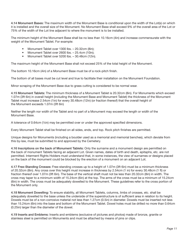4.14 Monument Bases: The maximum width of the Monument Base is conditional upon the width of the Lot(s) on which it is installed and the overall size of the Monument. No Monument Base shall exceed 9% of the overall area of the Lot or 75% of the width of the Lot line adjacent to where the monument is to be installed.

The minimum height of the Monument Base shall be no less than 10.16cm (4in) and increase commensurate with the weight of the Monument Tablet. For example:

- Monument Tablet over 1300 lbs. 20.32cm (8in);
- Monument Tablet over 2600 lbs. 25.4cm (10in);
- Monument Tablet over 5200 lbs. 30.48cm (12in).

The maximum height of the Monument Base shall not exceed 25% of the total height of the Monument.

The bottom 10.16cm (4in) of a Monument Base must be of a rock-pitch finish.

The bottom of all bases must be cut level and true to facilitate their installation on the Monument Foundation.

Minor scraping of the Monument Base due to grass cutting is considered to be normal wear.

4.15 Monument Tablets: The minimum thickness of a Monument Tablet is 20.32cm (8in). For Monuments which exceed 1.07m (3ft 6in) in overall height (including the Monument Base and Monument Tablet) the thickness of the Monument Tablet must increase 2.54cm (1in) for every 30.48cm (12in) (or fraction thereof) that the overall height of the Monument exceeds 1.07m (3ft 6in)

Neither the length nor width of the Tablet and no part of a Monument may exceed the length or width of the Monument Base.

A tolerance of 0.64cm  $(\frac{1}{4}$ in) may be permitted over or under the approved specified dimensions.

Every Monument Tablet shall be finished on all sides, ends, and top. Rock pitch finishes are permitted.

Unique designs for Monuments (including a boulder used as a memorial and memorial benches), which deviate from this by-law, must be submitted to and approved by the Cemetery.

4.16 Inscriptions on the back of Monument Tablets: Only the surname and a monument design are permitted on the back of monument Tablets facing an adjacent Lot. Given names, dates of birth and death, epitaphs, etc. are not permitted. Interment Rights Holders must understand that, in some instances, the view of surnames or designs placed on the back of the monument could be blocked by the erection of a monument on an adjacent Lot.

4.17 Free-Standing Crosses: Free-standing crosses up to a height of 1.07m (3ft 6in) must be a minimum thickness of 20.32cm (8in). Any cross over this height must increase in thickness by 2.54cm (1 in) for every 30.48cm (1 ft) or fraction thereof over 1.07m (3ft 6in). The base of the vertical shaft must not be less than 20.32cm (8in) in width. The cross may taper to a minimum width of 15.24cm (6in) at the top. The arms of the cross must be a minimum of 15.24cm (6in) in width. The cross must be adequately dowelled to the Monument. These guidelines refer to the cross portion of the Monument only.

4.18 Monument Dowelling: To ensure stability, all Monument Tablets, columns, limbs of crosses, etc. shall be adequately dowelled to the base unless the underside of the superstructure is of sufficient area in relation to its height. Dowels must be of a non-corrosive material not less than 1.27cm (0.5in) in diameter. Dowels must be inserted not less than 15.24cm (6in) into the base and bottom of the Monument Tablet. Dowel holes must be drilled no more than 0.64cm (0.25in) larger than the diameter of the dowel.

4.19 Inserts and Emblems: Inserts and emblems (exclusive of pictures and photos) made of bronze, granite or stainless steel is permitted on Monuments and must be attached by means of pins or clips.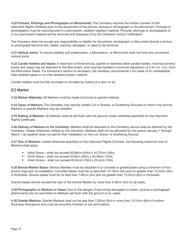4.20 Pictures, Etchings and Photographs on Monuments: The Cemetery requires the written consent of the Interment Rights Holder(s) prior to the placement of the picture, etching or photograph on the Monument. Pictures or photographs must be manufactured in a permanent, weather resistant material. Pictures, etchings or photographs of a non-permanent material will be removed and disposed of by the Cemetery without notification.

The Cemetery does not accept any responsibility or liability for the picture, photograph or Monument should a picture or photograph become lost, faded, cracked, damaged, or need to be removed.

4.21 Vertical Joints: To ensure stability and preservation, a Mausoleum, or Monument shall not have any uncovered vertical joints.

4.22 Candle Holders and Vases: A maximum of three bronze, granite or stainless steel candle holders, incense burners/ bowls and vases may be attached to the Monument, and must be installed a minimum separation of 2.54 cm. (1in.) from the Monument Tablet. If a translucent section is necessary, the cemetery recommends it be made of an unbreakable, heat-resistant glass or of a fire-resistant plastic material.

Candle holders must be fully enclosed on all sides by means of a door or lid.

#### [C] Marker

4.23 Marker Materials: All Markers must be made of bronze or granite material.

4.24 Types of Markers: The Cemetery may specify certain Lot or Graves, or Scattering Grounds on which only bronze Markers or granite Markers may be installed.

4.25 Setting of Markers: All Markers shall be set flush with the ground unless otherwise specified on the Interment Rights Certificate.

4.26 Delivery of Markers to the Cemetery: Markers shall be delivered to the Cemetery service area as directed by the Cemetery. Unless otherwise notified by the Cemetery, Markers shall not be delivered for the period January 1 through March 1 as weather does not permit their installation on the Lot, Grave, or Scattering Ground.

4.27 Size of Markers: Unless otherwise specified on the Interment Rights Contract, the following maximum size of Markers shall apply:

- Adult Grave shall not exceed 60.96cm (24in) x 45.72cm (18in);
- Child Grave shall not exceed 50.8cm (20in) x 30.48cm (12in);
- Infant Grave shall not exceed 40.64cm (16in) x 25.4cm (10in).

4.28 Bronze Marker Bases: Bronze Markers must be attached to a concrete or granite base using a minimum of four anchor lugs prior to installation. Concrete bases must be no less than 10.16cm (4in) and no greater than 15.24cm (6in) in thickness. Granite bases must be no less than 7.62cm (3in) and no greater than 15.24cm (6in) in thickness.

Granite bases cannot exceed the size of the bronze Marker by more than 5.08cm (2in) on all sides.

4.29 Photographs on Markers or Vases: Due to the danger of becoming damaged or broken, picture or photograph attachments are not permitted on Markers set flush with the ground or on vases.

4.30 Granite Markers: Granite Markers shall not be less than 7.62cm (3in) or more than 15.24cm (6in) of uniform thickness throughout and must be smoothly finished on top and bottom.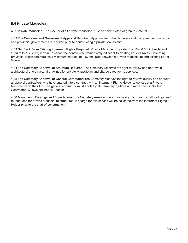#### [D] Private Mausolea

4.31 Private Mausolea: The exterior of all private mausolea must be constructed of granite material.

4.32 The Cemetery and Government Approval Required: Approval from the Cemetery and the governing municipal and provincial governments is required prior to constructing a private Mausoleum.

4.33 Set Back From Existing Interment Rights Required: Private Mausoleum greater than 2m (6.6ft) in height and 15cu m (529.72cu ft) in volume cannot be constructed immediately adjacent to existing Lot or Graves. Governing provincial legislation requires a minimum setback of 4.57cm (15ft) between a private Mausoleum and existing Lot or Graves.

4.34 The Cemetery Approval of Structure Required: The Cemetery reserves the right to review and approve all architectural and structural drawings for private Mausoleum and charge a fee for its services.

4.35 The Cemetery Approval of General Contractor: The Cemetery reserves the right to review, qualify and approve all general contractors who have entered into a contract with an Interment Rights Holder to construct a Private Mausoleum on their Lot. The general contractor must abide by all Cemetery by-laws and more specifically the Contractor By-laws outlined in Section 10.

4.36 Mausoleum Footings and Foundations: The Cemetery reserves the exclusive right to construct all footings and foundations for private Mausoleum structures. A charge for this service will be collected from the Interment Rights Holder prior to the start of construction.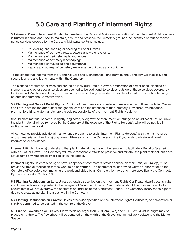# 5.0 Care and Planting of Interment Rights

5.1 General Care of Interment Rights: Income from the Care and Maintenance portion of the Interment Right purchase is trusted in a fund and used to maintain, secure and preserve the Cemetery grounds. An example of routine maintenance services covered by the Care and Maintenance Fund include:

- Re-levelling and sodding or seeding of Lot or Graves;
- Maintenance of cemetery roads, sewers and water systems;
- Maintenance of perimeter walls and fences;
- Maintenance of cemetery landscaping;
- Maintenance of mausolea and columbaria;
- Repairs and upkeep of cemetery maintenance buildings and equipment.

To the extent that income from the Memorial Care and Maintenance Fund permits, the Cemetery will stabilize, and secure Markers and Monuments within the Cemetery.

The planting or trimming of trees and shrubs on individual Lots or Graves, preparation of flower beds, cleaning of memorials, and other special services are deemed to be additional to services outside of those services covered by the Care and Maintenance Fund, for which a reasonable charge is made. Complete information and estimates may be obtained from the Cemetery office.

5.2 Planting and Care of Burial Rights: Pruning of dwarf trees and shrubs and maintenance of flowerbeds for Graves and Lots is not looked after under the general care and maintenance of the Cemetery. Flowerbed maintenance, pruning, fertilizing, watering, etc. are the sole responsibility of the Interment Rights Holder(s).

Should plant material become unsightly, neglected, overgrow the Monument, or infringe on an adjacent Lot, or Grave, the plant material will be removed by the Cemetery at the expense of the Rights Holder(s), who will be notified in writing of such removal.

All cemeteries provide additional maintenance programs to assist Interment Rights Holder(s) with the maintenance of plant material on their Lot(s) or Grave(s). Please contact the Cemetery office if you wish to obtain additional information or assistance.

Interment Rights Holder(s) understand that plant material may have to be removed to facilitate a Burial or Scattering within a Lot, or Grave. The Cemetery will make reasonable efforts to preserve and reinstall the plant material, but does not assume any responsibility or liability in this regard.

Interment Rights Holders wishing to have independent contractors provide service on their Lot(s) or Grave(s) must provide written authorization for the work to be performed. The contractor must provide written authorization to the Cemetery office before commencing the work and abide by all Cemetery by-laws and more specifically the Contractor By-laws outlined in Section 10.

5.3 Planting Restrictions on Lots: Unless otherwise specified on the Interment Rights Certificate, dwarf trees, shrubs and flowerbeds may be planted in the designated Monument Space. Plant material should be chosen carefully to ensure that it will not overgrow the perimeter boundaries of the Monument Space. The Cemetery reserves the right to dedicate areas as no planting areas within the Cemetery.

5.4 Planting Restrictions on Graves: Unless otherwise specified on the Interment Rights Certificate, one dwarf tree or shrub is permitted to be planted in the centre of the Grave.

5.5 Size of Flowerbeds on Graves: Flowerbeds no larger than 60.96cm (24in) and 121.92cm (48in) in length may be placed on a Grave. The flowerbed will be centered on the width of the Grave and immediately adjacent to the Marker Space.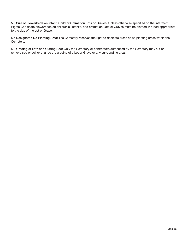5.6 Size of Flowerbeds on Infant, Child or Cremation Lots or Graves: Unless otherwise specified on the Interment Rights Certificate, flowerbeds on children's, infant's, and cremation Lots or Graves must be planted in a bed appropriate to the size of the Lot or Grave.

5.7 Designated No Planting Area: The Cemetery reserves the right to dedicate areas as no planting areas within the Cemetery.

5.8 Grading of Lots and Cutting Sod: Only the Cemetery or contractors authorized by the Cemetery may cut or remove sod or soil or change the grading of a Lot or Grave or any surrounding area.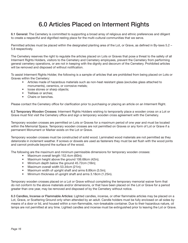## 6.0 Articles Placed on Interment Rights

6.1 General: The Cemetery is committed to supporting a broad array of religious and ethnic preferences and diligent to create a respectful and dignified resting place for the multi-cultural communities that we serve.

Permitted articles must be placed within the designated planting area of the Lot, or Grave, as defined in By-laws 5.2 – 5.8 respectively.

The Cemetery reserves the right to regulate the articles placed on Lots or Graves that pose a threat to the safety of all Interment Rights Holders, visitors to the Cemetery and Cemetery employees, prevent the Cemetery from performing general cemetery operations, or are not in keeping with the dignity and decorum of the Cemetery. Prohibited articles will be removed and disposed of without notification.

To assist Interment Rights Holder, the following is a sample of articles that are prohibited from being placed on Lots or Graves within the Cemetery:

- Articles made of hazardous materials such as non-heat resistant glass (excludes glass attached to monuments), ceramics, or corrosive metals;
- loose stones or sharp objects;
- Trellises or arches;
- Chairs or benches.

Please contact the Cemetery office for clarification prior to purchasing or placing an article on an Interment Right.

6.2 Temporary Wooden Crosses: Interment Rights Holders wishing to temporarily place a wooden cross on a Lot or Grave must first visit the Cemetery office and sign a temporary wooden cross agreement with the Cemetery.

Temporary wooden crosses are permitted on Lots or Graves for a maximum period of one year and must be located within the Memorial Space. Temporary wooden crosses are not permitted on Graves or any form of Lot or Grave if a permanent Monument or Marker exists on the Lot or Grave.

Temporary wooden crosses must be constructed of solid wood. Laminated wood materials are not permitted as they deteriorate in inclement weather. If screws or dowels are used as fasteners they must be set flush with the wood joints and cannot protrude beyond the surface of the wood.

The following are the maximum and minimum permissible dimensions for temporary wooden crosses:

- Maximum overall length 152.4cm (60in);
- Maximum height above the ground 106.68cm (42in);
- Minimum depth below the ground 45.72cm (18in);
- Maximum overall width 53.34cm (21in);
- Maximum width of upright shaft and arms 8.89cm (3.5in);
- Minimum thickness of upright shaft and arms 3.18cm (1.25in).

Temporary wooden crosses placed on a Lot or Grave without completing the temporary memorial waiver form that do not conform to the above materials and/or dimensions, or that have been placed on the Lot or Grave for a period greater than one year, may be removed and disposed of by the Cemetery without notice.

6.3 Candles, Incense or Flammable Articles: Lighted candles, incense, or other flammable articles may be placed on a Lot, Grave, or Scattering Ground only when attended by an adult. Candle holders must be fully enclosed on all sides by means of a door or lid, and housed within a non-flammable, non-breakable container. Due to their hazardous nature, oil lamps are not permitted at any time. Lighted candles and incense must be extinguished prior to leaving the Lot or Grave.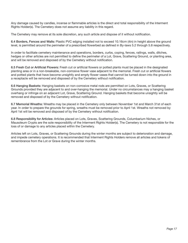Any damage caused by candles, incense or flammable articles is the direct and total responsibility of the Interment Rights Holder(s). The Cemetery does not assume any liability in this regard.

The Cemetery may remove at its sole discretion, any such article and dispose of it without notification.

6.4 Borders, Fences and Walls: Plastic PVC edging installed not to exceed 10.16cm (4in) in height above the ground level, is permitted around the perimeter of a prescribed flowerbed as defined in By-laws 5.2 through 5.8 respectively.

In order to facilitate cemetery maintenance and operations, borders, curbs, coping, fences, railings, walls, ditches, hedges or other articles are not permitted to define the perimeter of a Lot, Grave, Scattering Ground, or planting area, and will be removed and disposed of by the Cemetery without notification.

6.5 Fresh Cut or Artificial Flowers: Fresh cut or artificial flowers or potted plants must be placed in the designated planting area or in a non-breakable, non-corrosive flower vase adjacent to the memorial. Fresh cut or artificial flowers and potted plants that have become unsightly and empty flower vases that cannot be turned down into the ground in a receptacle will be removed and disposed of by the Cemetery without notification.

6.6 Hanging Baskets: Hanging baskets on non-corrosive metal rods are permitted on Lots, Graves, or Scattering Grounds provided they are adjacent to and over-hanging the memorial. Under no circumstances may a hanging basket overhang or infringe on an adjacent Lot, Grave, Scattering Ground. Hanging baskets that become unsightly will be removed and disposed of by the Cemetery without notification.

6.7 Memorial Wreaths: Wreaths may be placed in the Cemetery only between November 1st and March 31st of each year. In order to prepare the grounds for spring, wreaths must be removed prior to April 1st. Wreaths not removed by April 1st will be removed and disposed of by the Cemetery without notification.

6.8 Responsibility for Articles: Articles placed on Lots, Graves, Scattering Grounds, Columbarium Niches, or Mausoleum Crypts are the sole responsibility of the Interment Rights Holder(s). The Cemetery is not responsible for the loss of or damage to any articles placed within the Cemetery.

Articles left on Lots, Graves, or Scattering Grounds during the winter months are subject to deterioration and damage, and impede cemetery operations. It is recommended that Interment Rights Holders remove all articles and tokens of remembrance from the Lot or Grave during the winter months.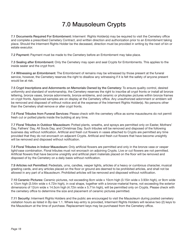# 7.0 Mausoleum Crypts

7.1 Documents Required For Entombment: Interment Rights Holder(s) may be required to visit the Cemetery office and complete a prescribed Cemetery Contract, and written direction and authorization prior to an Entombment taking place. Should the Interment Rights Holder be the deceased, direction must be provided in writing by the next of kin or estate executor.

7.2 Payment: Payment must be made to the Cemetery before an Entombment may take place.

7.3 Sealing after Entombment: Only the Cemetery may open and seal Crypts for Entombments. This applies to the inside sealer and the crypt front.

7.4 Witnessing an Entombment: The Entombment of remains may be witnessed by those present at the funeral service, however, the Cemetery reserves the right to disallow any witnessing if it is felt the safety of anyone present would be at risk.

7.5 Crypt Inscriptions and Adornments on Memorials Owned by the Cemetery: To ensure quality control, desired uniformity and standard of workmanship, the Cemetery reserves the right to inscribe all crypt fronts or install all bronze lettering, bronze vases, bronze adornments, bronze emblems, and ceramic or photoplex pictures within bronze frames on crypt fronts. Approved samples are on display at the Cemetery office. Any unauthorized adornment or emblem will be removed and disposed of without notice and at the expense of the Interment Rights Holder(s). No persons other than the Cemetery shall remove or alter crypt fronts.

7.6 Floral Tributes from Funeral Services: Please check with the cemetery office as some mausoleums do not permit fresh cut or potted plants inside the building at any time.

7.7 Floral Tributes in Outdoor Mausoleum: Potted plants, wreaths, and sprays are permitted only on Easter, Mothers' Day, Fathers' Day, All Souls Day, and Christmas Day. Such tributes will be removed and disposed of the following business day without notification. Artificial and fresh cut flowers in vases attached to Crypts are permitted any time provided that they do not encroach on adjacent Crypts. Artificial and fresh cut flowers that have become unsightly will be removed and disposed without notification.

7.8 Floral Tributes in Indoor Mausoleum: Only artificial flowers are permitted and only in the bronze vase or vesper light/vase combination. Floral tributes must not encroach on adjoining Crypts. Live or cut flowers are not permitted. Artificial flowers that have become unsightly and artificial plant materials placed on the floor will be removed and disposed of by the Cemetery on a daily basis without notification.

7.9 Articles not Permitted: Pedestals, urns, candles, vesper lights, articles of a heavy or cumbrous character, musical greeting cards, and any articles placed on the floor or ground are deemed to be prohibited articles, and shall not be allowed in any part of a Mausoleum. Prohibited articles will be removed and disposed without notification.

7.10 Ceramic Pictures: Ceramic pictures, not exceeding 8cm wide x 10cm high (3.15in wide x 3.93in high), or 9cm wide x 12cm high (3.54in wide x 4.72in high), in oval shape, together with a bronze-material frame, not exceeding the exterior dimensions of 12cm wide x 14.5cm high (4.72in wide x 5.71in high), will be permitted only on Crypts. Please check with the cemetery office to determine the size and placement of ceramic pictures permitted.

7.11 Security: Interment Rights Holders and the public are encouraged to visit the Mausoleum during posted cemetery visitation hours as listed in By-law 1.1. Where key-entry is provided, Interment Rights Holders will receive two (2) keys to the Mausoleum at the time of purchase. Replacement keys may be purchased from the Cemetery office.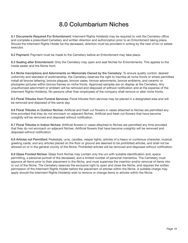# 8.0 Columbarium Niches

8.1 Documents Required For Entombment: Interment Rights Holder(s) may be required to visit the Cemetery office and complete a prescribed Cemetery and written direction and authorization prior to an Entombment taking place. Should the Interment Rights Holder be the deceased, direction must be provided in writing by the next of kin or estate executor.

8.2 Payment: Payment must be made to the Cemetery before an Entombment may take place.

8.3 Sealing after Entombment: Only the Cemetery may open and seal Niches for Entombments. This applies to the inside sealer and the Niche front.

8.4 Niche Inscriptions and Adornments on Memorials Owned by the Cemetery: To ensure quality control, desired uniformity and standard of workmanship, the Cemetery reserves the right to inscribe all niche fronts or where permitted install all bronze lettering, bronze plaques, bronze vases, bronze adornments, bronze emblems, and ceramic or photoplex pictures within bronze frames on niche fronts. Approved samples are on display at the Cemetery. Any unauthorized adornment or emblem will be removed and disposed of without notification and at the expense of the Interment Rights Holder(s). No persons other than employees of the company shall remove or alter niche fronts.

8.5 Floral Tributes from Funeral Services: Floral tributes from services may be placed in a designated area and will be removed and disposed of the same day.

8.6 Floral Tributes in Outdoor Niches: Artificial and fresh cut flowers in vases attached to Niches are permitted any time provided that they do not encroach on adjacent Niches. Artificial and fresh cut flowers that have become unsightly will be removed and disposed without notification.

8.7 Floral Tributes in Indoor Niches: Artificial flowers in vases attached to Niches are permitted any time provided that they do not encroach on adjacent Niches. Artificial flowers that have become unsightly will be removed and disposed without notification.

8.8 Articles not Permitted: Pedestals, urns, candles, vesper lights, articles of a heavy or cumbrous character, musical greeting cards, and any articles placed on the floor or ground are deemed to be prohibited articles, and shall not be allowed on or in the general vicinity of the Niche. Prohibited articles will be removed and disposed without notification.

8.9 Glass Fronted Niches: Glass front Niches may contain only the urn with suitable identification and, space permitting, a personal portrait of the deceased, and a limited number of personal mementos. The Cemetery must approve all items prior to their placement in the Niche, and must supervise the insertion and/or removal of items into or out of the Niche. The Cemetery reserves the exclusive right to open and close the Niche, and requires the written permission of the Interment Rights Holder before the placement of articles within the Niche. A suitable charge may apply should the Interment Rights Holder(s) wish to remove or change items or articles within the Niche.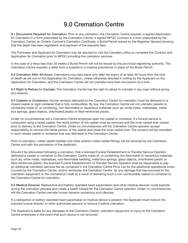### 9.0 Cremation Centre

9.1 Documents Required for Cremation: Prior to any cremation, the Cremation Centre requires: a signed Application for Cremation in a form prescribed by the Cremation Centre; a signed MPGC Contract in a form prescribed by the Cremation Centre; an Ontario Coroner's Cremation Certificate; a Burial Permit issued by the Registrar General showing that the death has been registered; and payment of the requisite fees.

The Purchaser and Applicant for Cremation may be required to visit the Cemetery office to complete the Contract and Application for Cremation prior to MPGC providing the cremation services.

In the case of a fetus less than 20 weeks a Burial Permit will not be issued by the provincial registering authority. The Cremation Centre requires: a letter from a hospital or a medical practitioner in place of the Burial Permit.

9.2 Cremation After 48 Hours: Cremations may take place only after the expiry of at least 48 hours from the time of death as set out on the Application for Cremation, unless otherwise directed in writing by the Applicant on the Application for Cremation, and the Cremation Centre will not cremate more than one person at a time.

9.3 Right to Refuse to Cremate: The Cremation Centre has the right to refuse to cremate in any case without giving any reasons.

9.4 Caskets or Containers: Human remains delivered to the Cremation Centre for cremation must be delivered in a closed casket or rigid container that is fully combustible. By law, the Cremation Centre will not cremate caskets or containers made of, or containing, non-flammable or hazardous materials such as; white metal, mattresses, metal box springs, glass objects, chlorinated plastic or fibre-reinforced plastic.

Under no circumstances will a Cremation Centre employee open the casket or container. If a funeral service is conducted using a rental casket, the rental portion of the casket must be removed and the inner casket liner closed prior to delivery to the Cremation Centre. Under no circumstances will the Cremation Centre operator accept responsibility to remove the rental portion of the casket and close the inner casket liner. The remains will be cremated in such closed casket or container that was delivered to the Cremation Centre.

Prior to cremation, metal casket handles and other exterior metal casket fittings will be removed by the Cremation Centre and with the permission of the Applicant.

Should it be discovered following a cremation, that a licensed Funeral Establishment or Transfer Service Operator delivered a casket or container to the Cremation Centre made of, or containing non-flammable or hazardous materials such as; white metal, mattresses, non-flammable bedding, metal box springs, glass objects, chlorinated plastic or fibre-reinforced plastic, the licensed Funeral Establishment or Transfer Service Operator shall be responsible to pay an additional cremation services fee as contained in the Cremation Centre Price List for the additional operational costs incurred by the Cremation Centre, and/or reimburse the Cremation Centre for any damage that has occurred to the cremation equipment or the crematorium staff as a result of delivering such a non-combustible casket or container to the Cremation Centre for cremation.

9.5 Medical Devices: Radioactive and battery operated heart pacemakers and other medical devices could explode during the cremation process and create a health hazard for the Cremation Centre operator. Under no circumstances will the Cremation Centre cremate human remains containing such devices.

If a radioactive or battery operated heart pacemaker or medical device is present, the Applicant must instruct the licensed funeral director or other authorized persons to remove it before cremation.

The Applicant is liable for any damages to the Cremation Centre, cremation equipment or injury to the Cremation Centre employees in the event that such device is not removed.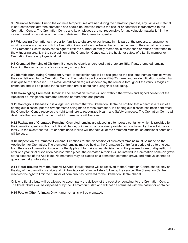9.6 Valuable Material: Due to the extreme temperatures attained during the cremation process, any valuable material is not recoverable after the cremation and should be removed before the casket or container is transferred to the Cremation Centre. The Cremation Centre and its employees are not responsible for any valuable material left in the closed casket or container at the time of delivery to the Cremation Centre.

9.7 Witnessing Cremations: In order for families to observe or participate in this part of the process, arrangements must be made in advance with the Cremation Centre office to witness the commencement of the cremation process. The Cremation Centre reserves the right to limit the number of family members in attendance or refuse admittance to the witnessing area if, in the sole opinion of the Cremation Centre staff, the health or safety of a family member or Cremation Centre employee is at risk.

9.8 Cremated Remains of Children: It should be clearly understood that there are little, if any, cremated remains following the cremation of a fetus or a very young child.

9.9 Identification during Cremation: A metal identification tag will be assigned to the casketed human remains when they are delivered to the Cremation Centre. The metal tag will contain MPGC's name and an identification number that is unique to the deceased. The metal identification tag will accompany the remains throughout the various stages of cremation and will be placed in the cremation urn or container during final packaging.

9.10 Co-mingling Cremated Remains: The Cremation Centre will not, without the written and signed consent of the Applicant co-mingle the cremated remains of more than one person.

9.11 Contagious Diseases: It is a legal requirement that the Cremation Centre be notified that a death is a result of a contagious disease, prior to arrangements being made for the cremation. If a contagious disease has been confirmed, the Cremation Centre reserves the right to adhere to recognized Health and Safety practices. The Cremation Centre will designate the hour and manner in which cremations will be done.

9.12 Packaging of Cremated Remains: Cremated remains are placed in a temporary container, which is provided by the Cremation Centre without additional charge, or in an urn or container provided or purchased by the individual or family. In the event that the urn or container supplied will not hold all of the cremated remains, an additional container will be used.

9.13 Disposition of Cremated Remains: Directions for the disposition of cremated remains must be made on the Application for Cremation. The cremated remains may be held at the Cremation Centre for a period of up to one year from the date of cremation in order for the Applicant to make a final decision as to the preferred form of disposition. If, after one year, final disposition has not taken place, the cremated remains will be interred in a cremation common grave at the expense of the Applicant. No memorial may be placed on a cremation common grave, and retrieval cannot be guaranteed at a future date.

9.14 Floral Tributes from the Funeral Service: Floral tributes will be received at the Cremation Centre chapel only on the day of the cremation service and will be disposed of immediately following the service. The Cremation Centre reserves the right to limit the number of floral tributes delivered to the Cremation Centre chapel.

Only one floral tribute will be allowed to accompany the delivery of the casket or container to the Cremation Centre. The floral tributes will be disposed of by the Crematorium staff and will not be cremated with the casket or container.

9.15 Pets or Other Animals: Only human remains will be cremated.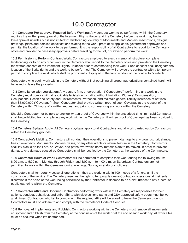## 10.0 Contractor

10.1 Contractor Pre-approval Required Before Working: Any contract work to be performed within the Cemetery requires the written pre-approval of the Interment Rights Holder and the Cemetery before the work may begin. Pre-approval includes but is not limited to: landscaping, delivery of Monuments and Markers, inscriptions, designs, drawings, plans and detailed specifications relating to the work, proof of all applicable government approvals and permits, the location of the work to be performed. It is the responsibility of all Contractors to report to the Cemetery office and provide the necessary approvals before traveling to the Lot, or Grave to perform the work.

10.2 Permission to Perform Contract Work: Contractors employed to erect a memorial, structure, complete landscaping, or to do any other work in the Cemetery shall report to the Cemetery office and provide to the Cemetery the written consent of the Interment Rights Holder(s) prior to commencing their work. Such consent shall designate the location of the Burial rights and the work to be performed. The Cemetery will provide the contractor with a temporary permit to complete the work which shall be prominently displayed in the front window of the contractor's vehicle.

Contractors who begin work within the Cemetery without first obtaining all proper authorizations contained herein will be asked to leave the property.

10.3 Compliance with Legislation: Any person, firm, or corporation ("Contractors") performing any work in the Cemetery must comply with all applicable legislation including without limitation: Workers' Compensation, Occupational Health and Safety and Environmental Protection, and maintain general liability insurance of not less than \$3,000,000 ("Coverage"). Such Contractor shall provide written proof of such Coverage at the request of the Cemetery within 72 hours of a written request and prior to commencing any work within the Cemetery.

Should a Contractor not be able to provide written proof of Coverage within the prescribed time limit, said Contractor shall be prohibited from completing any work within the Cemetery until written proof of Coverage has been provided to the Cemetery.

10.4 Cemetery By-laws Apply: All Cemetery by-laws apply to all Contractors and all work carried out by Contractors within the Cemetery grounds.

10.5 Contractor's Liability: Contractors will conduct their operations to prevent damage to any grounds, turf, shrubs, trees, flowerbeds, Monuments, Markers, vases, or any other article or natural feature in the Cemetery. Contractors shall lay planks on the Lots, or Graves, and paths over which heavy materials are to be moved, in order to prevent damage. Any damage caused by Contractors shall be rectified by the Cemetery at the expense of the Contractors.

10.6 Contractor Hours of Work: Contractors will be permitted to complete their work during the following hours: 8:00 a.m. to 5:00 p.m. Monday through Friday, and 8:00 a.m. to 4:00 p.m. on Saturdays. Contractors are not permitted to work within the Cemetery during evenings, Sunday or statutory holidays.

Contractors shall temporarily cease all operations if they are working within 100 metres of a funeral until the conclusion of the service. The Cemetery reserves the right to temporarily cease Contractor operations at their sole discretion if the noise of the work being performed by the Contractor is deemed to be a disturbance to any funeral or public gathering within the Cemetery.

10.7 Contractor Attire and Conduct: Contractors performing work within the Cemetery are responsible for their actions, conduct, behaviour, and attire. Shirts with sleeves, long pants and CSA approved safety boots must be worn at all times. Contractors who fail to comply with the required attire will be asked to leave the Cemetery grounds. Contractors must also adhere to and comply with the Cemetery's Code of Conduct.

10.8 Removal of Implements and Rubbish: Contractors working within the Cemetery must remove all implements, equipment and rubbish from the Cemetery at the conclusion of the work or at the end of each work day. All work sites must be secured when left unattended.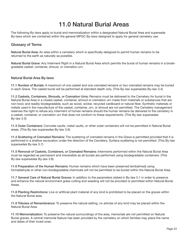## 11.0 Natural Burial Areas

The following By-laws apply to burial and memorialization within a designated Natural Burial Area and supersede By-laws which are contained within the general MPGC By-laws designed to apply for general cemetery use.

#### Glossary of Terms

Natural Burial Area: An area within a cemetery which is specifically designed to permit human remains to be returned to the earth as naturally as possible.

Natural Burial Grave: Any Interment Right in a Natural Burial Area which permits the burial of human remains in a biodegradable casket, container, shroud, or cremation urn.

#### Natural Burial Area By-laws

11.1 Number of Burials: A maximum of one casket and one cremated remains or two cremated remains may be buried in each Grave. The casket burial will be performed at standard depth only. (This By-law supersedes By-law 3.4)

11.2 Caskets, Containers, Shrouds, or Cremation Urns: Remains must be delivered to the Cemetery for burial in the Natural Burial Area in a closed casket, container, shroud or cremation urn made from materials or substances that are non-toxic and readily biodegradable, such as wood, wicker, recycled cardboard or natural fiber. Synthetic materials or metals used in the manufacture of the casket, container, urn, or shroud are not permitted. The Cemetery management reserves the right to refuse any interment of human remains should the human remains be delivered to the cemetery in a casket, container, or cremation urn that does not conform to these requirements. (This By-law supersedes By-law 3.5)

11.3 Outer Containers: Concrete vaults, metal vaults, or other outer containers will not be permitted in Natural Burial areas. (This By-law supersedes By-law 3.6)

11.4 Scattering of Cremated Remains: The scattering of cremated remains in the Grave is permitted provided that it is performed in a shallow excavation under the direction of the Cemetery. Surface scattering is not permitted. (This By-law supersedes By-law 3.7)

11.5 Removal of Caskets, Containers, or Cremated Remains: Interments performed within the Natural Burial Area must be regarded as permanent and irreversible as all burials are performed using biodegradable containers. (This By-law supersedes By-law 3.8)

11.6 Preparation of the Human Remains: Human remains which have been preserved (embalmed) using formaldehyde or other non-biodegradable chemicals will not be permitted to be buried within the Natural Burial Area.

11.7 General Care of Natural Burial Graves: In addition to the parameters stated in By-law 5.1 in order to preserve and enhance the natural environment grass cutting and weeding will not be provided or permitted within Natural Burial Areas.

11.8 Planting Restrictions: Live or artificial plant material of any kind is prohibited to be placed on the graves within the Natural Burial area.

11.9 Tributes of Remembrance: To preserve the natural setting, no articles of any kind may be placed within the Natural Burial Area.

11.10 Memorialization: To preserve the natural surroundings of the area, memorials are not permitted on Natural Burial graves. A central memorial feature has been provided by the cemetery on which families may place the name and dates of their loved ones.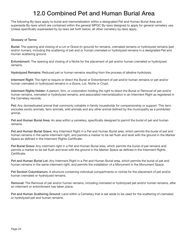#### 12.0 Combined Pet and Human Burial Area

The following By-laws apply to burial and memorialization within a designated Pet and Human Burial Area and supersede By-laws which are contained within the general MPGC By-laws designed to apply for general cemetery use. Unless specifically superseded by by-laws set forth below, all other cemetery by-laws apply.

#### Glossary of Terms

Burial: The opening and closing of a Lot or Grave (in ground) for remains, cremated remains or hydrolyzed remains (pet and/or human), including the scattering of pet and or human cremated or hydrolyzed remains in a designated Pet and Human scattering ground.

Entombment: The opening and closing of a Niche for the placement of pet and/or human cremated or hydrolyzed remains.

Hydrolyzed Remains: Reduced pet or human remains resulting from the process of alkaline hydrolysis.

Interment Right: The right to require or direct the Burial or Entombment of pet and/or human remains or pet and/or human cremated or hydrolyzed remains in a Grave, Lot, Niche or Crypt.

Interment Rights Holder: A person, firm, or corporation holding the right to direct the Burial or Removal of pet and/or human remains, cremated or hydrolyzed remains, and associated memorialization in an Interment Right as registered in the Cemetery records.

Pet: Any domesticated animal that commonly cohabits in family households for companionship or support. This term excludes exotic animals, farm animals, wild animals and any other animal defined by the municipality as a prohibited animal.

Pet and Human Burial Area: An area within a cemetery, specifically designed to permit the burial of pet and human remains.

Pet and Human Burial Grave: Any Interment Right in a Pet and Human Burial area, which permits the burial of pet and human remains in the same interment right, and permits a marker to be set flush and level with the ground in the Marker Space as defined in the Interment Rights Certificate.

Pet Burial Grave: Any interment right in a Pet and Human Burial area, which permits the burial of pet remains and permits a marker to be set flush and level with the ground in the Marker Space as defined in the Interment Rights Certificate.

Pet and Human Burial Lot: Any Interment Right in a Pet and Human Burial area, which permits the burial of pet and human remains in the same interment right, and permits the installation of a Monument in the Monument Space.

Pet Section Columbarium: A structure containing individual compartments or niches for the placement of pet and/or human cremated or hydrolyzed remains.

Removal: The Removal of pet and/or human remains, including cremated or hydrolyzed pet and/or human remains, after an interment or entombment has taken place.

Pet and Human Scattering Ground: Land within a Cemetery that is set aside to be used for the scattering of cremated or hydrolyzed pet and human remains.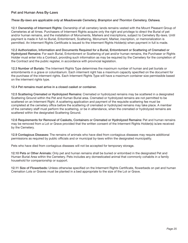#### Pet and Human Area By-Laws

#### These By-laws are applicable only at Meadowvale Cemetery, Brampton and Thornton Cemetery, Oshawa.

12.1 Ownership of Interment Rights: Ownership of all cemetery lands remains vested with the Mount Pleasant Group of Cemeteries at all times. Purchasers of Interment Rights acquire only the right and privilege to direct the Burial of pet and/or human remains, and the installation of Monuments, Markers and inscriptions, subject to Cemetery By-laws. Until payment is made in full no Burial, Entombment, Scattering, Monument, Marker, inscription, or memorialization is permitted. An Interment Rights Certificate is issued to the Interment Rights Holder(s) when payment in full is made.

12.2 Authorization, Information and Documents Required for a Burial, Entombment or Scattering of Cremated or Hydrolyzed Remains: For each Burial, Entombment or Scattering of pet and/or human remains, the Purchaser or Rights Holder must enter into a Contract, providing such information as may be required by the Cemetery for the completion of the Contract and the public register, in accordance with provincial legislation.

12.3 Number of Burials: The Interment Rights Type determines the maximum number of human and pet burials or entombments in a grave or columbarium. Each interment right has a maximum capacity specified on the document for the purchase of the interment rights. Each Interment Rights Type will have a maximum container size permissible based on the interment rights type.

12.4 Pet remains must arrive in a closed casket or container.

12.5 Scattering Cremated or Hydrolyzed Remains: Cremated or hydrolyzed remains may be scattered in a designated Scattering Ground within the Pet and Human Burial area. Cremated or hydrolyzed remains are not permitted to be scattered on an Interment Right. A scattering application and payment of the requisite scattering fee must be completed at the cemetery office before the scattering of cremated or hydrolyzed remains may take place. A member of the cemetery staff must perform the scattering, or be in attendance, when the cremated or hydrolyzed remains are scattered within the designated Scattering Ground.

12.6 Requirements for Removal of Caskets, Containers or Cremated or Hydrolyzed Remains: Pet and human remains may be removed from a Lot or Grave provided that the written consent of the Interment Rights Holder(s) is/are received by the Cemetery.

12.9 Contagious Diseases: The remains of animals who have died from contagious diseases may require additional permissions as required by public officials and or municipal by-laws within the designated municipality.

Pets who have died from contagious diseases will not be accepted for temporary storage.

12.10 Pets or Other Animals: Only pet and human remains shall be buried or entombed in the designated Pet and Human Burial Area within the Cemetery. Pets includes any domesticated animal that commonly cohabits in a family household for companionship or support.

12.11 Size of Flowerbeds: Unless otherwise specified on the Interment Rights Certificate, flowerbeds on pet and human Cremation Lots or Graves must be planted in a bed appropriate to the size of the Lot or Grave.